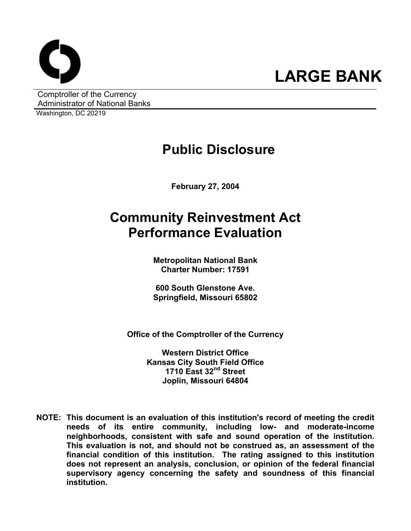

Comptroller of the Currency Administrator of National Banks

Washington, DC 20219

#### **Public Disclosure**

**February 27, 2004** 

## **Community Reinvestment Act Performance Evaluation**

**Metropolitan National Bank Charter Number: 17591** 

**600 South Glenstone Ave. Springfield, Missouri 65802** 

**Office of the Comptroller of the Currency** 

**Western District Office Kansas City South Field Office 1710 East 32nd Street Joplin, Missouri 64804** 

**NOTE: This document is an evaluation of this institution's record of meeting the credit needs of its entire community, including low- and moderate-income neighborhoods, consistent with safe and sound operation of the institution.** **This evaluation is not, and should not be construed as, an assessment of the financial condition of this institution. The rating assigned to this institution does not represent an analysis, conclusion, or opinion of the federal financial supervisory agency concerning the safety and soundness of this financial institution.**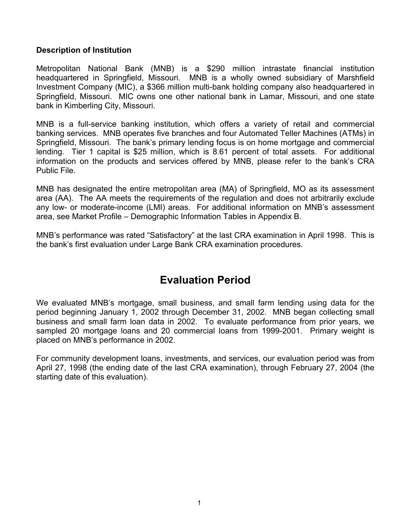#### **Description of Institution**

Metropolitan National Bank (MNB) is a \$290 million intrastate financial institution headquartered in Springfield, Missouri. MNB is a wholly owned subsidiary of Marshfield Investment Company (MIC), a \$366 million multi-bank holding company also headquartered in Springfield, Missouri. MIC owns one other national bank in Lamar, Missouri, and one state bank in Kimberling City, Missouri.

MNB is a full-service banking institution, which offers a variety of retail and commercial banking services. MNB operates five branches and four Automated Teller Machines (ATMs) in Springfield, Missouri. The bank's primary lending focus is on home mortgage and commercial lending. Tier 1 capital is \$25 million, which is 8.61 percent of total assets. For additional information on the products and services offered by MNB, please refer to the bank's CRA Public File.

MNB has designated the entire metropolitan area (MA) of Springfield, MO as its assessment area (AA). The AA meets the requirements of the regulation and does not arbitrarily exclude any low- or moderate-income (LMI) areas. For additional information on MNB's assessment area, see Market Profile – Demographic Information Tables in Appendix B.

MNB's performance was rated "Satisfactory" at the last CRA examination in April 1998. This is the bank's first evaluation under Large Bank CRA examination procedures.

#### **Evaluation Period**

We evaluated MNB's mortgage, small business, and small farm lending using data for the period beginning January 1, 2002 through December 31, 2002. MNB began collecting small business and small farm loan data in 2002. To evaluate performance from prior years, we sampled 20 mortgage loans and 20 commercial loans from 1999-2001. Primary weight is placed on MNB's performance in 2002.

For community development loans, investments, and services, our evaluation period was from April 27, 1998 (the ending date of the last CRA examination), through February 27, 2004 (the starting date of this evaluation).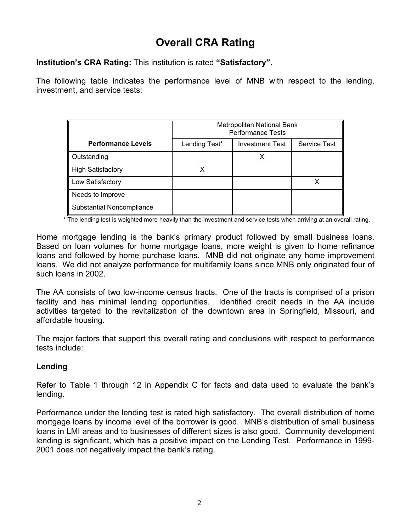#### **Overall CRA Rating**

**Institution's CRA Rating:** This institution is rated **"Satisfactory".** 

The following table indicates the performance level of MNB with respect to the lending, investment, and service tests:

|                           |               | Metropolitan National Bank<br><b>Performance Tests</b> |                     |
|---------------------------|---------------|--------------------------------------------------------|---------------------|
| <b>Performance Levels</b> | Lending Test* | <b>Investment Test</b>                                 | <b>Service Test</b> |
| Outstanding               |               |                                                        |                     |
| <b>High Satisfactory</b>  |               |                                                        |                     |
| Low Satisfactory          |               |                                                        |                     |
| Needs to Improve          |               |                                                        |                     |
| Substantial Noncompliance |               |                                                        |                     |

\* The lending test is weighted more heavily than the investment and service tests when arriving at an overall rating.

Home mortgage lending is the bank's primary product followed by small business loans. Based on loan volumes for home mortgage loans, more weight is given to home refinance loans and followed by home purchase loans. MNB did not originate any home improvement loans. We did not analyze performance for multifamily loans since MNB only originated four of such loans in 2002.

The AA consists of two low-income census tracts. One of the tracts is comprised of a prison facility and has minimal lending opportunities. Identified credit needs in the AA include activities targeted to the revitalization of the downtown area in Springfield, Missouri, and affordable housing.

The major factors that support this overall rating and conclusions with respect to performance tests include:

#### **Lending**

Refer to Table 1 through 12 in Appendix C for facts and data used to evaluate the bank's lending.

Performance under the lending test is rated high satisfactory. The overall distribution of home mortgage loans by income level of the borrower is good. MNB's distribution of small business loans in LMI areas and to businesses of different sizes is also good. Community development lending is significant, which has a positive impact on the Lending Test. Performance in 1999- 2001 does not negatively impact the bank's rating.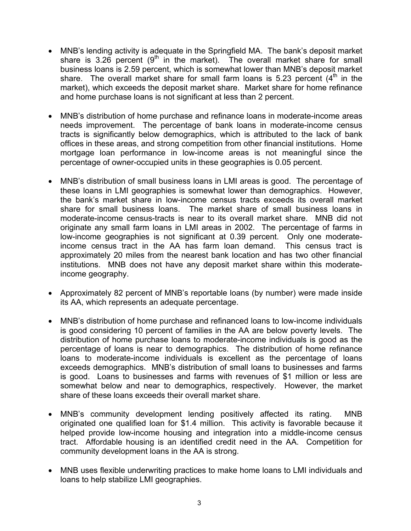- MNB's lending activity is adequate in the Springfield MA. The bank's deposit market share is 3.26 percent  $(9<sup>th</sup>$  in the market). The overall market share for small business loans is 2.59 percent, which is somewhat lower than MNB's deposit market share. The overall market share for small farm loans is 5.23 percent  $(4<sup>th</sup>$  in the market), which exceeds the deposit market share. Market share for home refinance and home purchase loans is not significant at less than 2 percent.
- MNB's distribution of home purchase and refinance loans in moderate-income areas needs improvement. The percentage of bank loans in moderate-income census tracts is significantly below demographics, which is attributed to the lack of bank offices in these areas, and strong competition from other financial institutions. Home mortgage loan performance in low-income areas is not meaningful since the percentage of owner-occupied units in these geographies is 0.05 percent.
- MNB's distribution of small business loans in LMI areas is good. The percentage of these loans in LMI geographies is somewhat lower than demographics. However, the bank's market share in low-income census tracts exceeds its overall market share for small business loans. The market share of small business loans in moderate-income census-tracts is near to its overall market share. MNB did not originate any small farm loans in LMI areas in 2002. The percentage of farms in low-income geographies is not significant at 0.39 percent. Only one moderateincome census tract in the AA has farm loan demand. This census tract is approximately 20 miles from the nearest bank location and has two other financial institutions. MNB does not have any deposit market share within this moderateincome geography.
- Approximately 82 percent of MNB's reportable loans (by number) were made inside its AA, which represents an adequate percentage.
- MNB's distribution of home purchase and refinanced loans to low-income individuals is good considering 10 percent of families in the AA are below poverty levels. The distribution of home purchase loans to moderate-income individuals is good as the percentage of loans is near to demographics. The distribution of home refinance loans to moderate-income individuals is excellent as the percentage of loans exceeds demographics. MNB's distribution of small loans to businesses and farms is good. Loans to businesses and farms with revenues of \$1 million or less are somewhat below and near to demographics, respectively. However, the market share of these loans exceeds their overall market share.
- MNB's community development lending positively affected its rating. MNB originated one qualified loan for \$1.4 million. This activity is favorable because it helped provide low-income housing and integration into a middle-income census tract. Affordable housing is an identified credit need in the AA. Competition for community development loans in the AA is strong.
- MNB uses flexible underwriting practices to make home loans to LMI individuals and loans to help stabilize LMI geographies.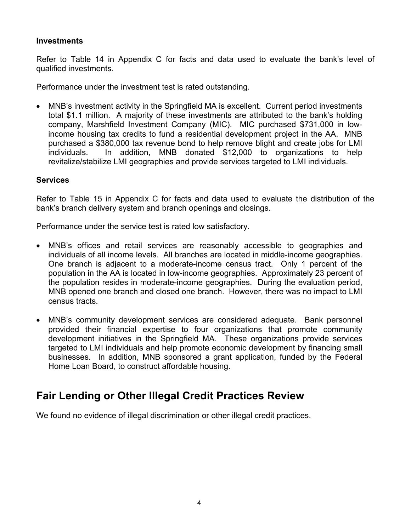#### **Investments**

Refer to Table 14 in Appendix C for facts and data used to evaluate the bank's level of qualified investments.

Performance under the investment test is rated outstanding.

• MNB's investment activity in the Springfield MA is excellent. Current period investments total \$1.1 million. A majority of these investments are attributed to the bank's holding company, Marshfield Investment Company (MIC). MIC purchased \$731,000 in lowincome housing tax credits to fund a residential development project in the AA. MNB purchased a \$380,000 tax revenue bond to help remove blight and create jobs for LMI individuals. In addition, MNB donated \$12,000 to organizations to help revitalize/stabilize LMI geographies and provide services targeted to LMI individuals.

#### **Services**

Refer to Table 15 in Appendix C for facts and data used to evaluate the distribution of the bank's branch delivery system and branch openings and closings.

Performance under the service test is rated low satisfactory.

- MNB's offices and retail services are reasonably accessible to geographies and individuals of all income levels. All branches are located in middle-income geographies. One branch is adjacent to a moderate-income census tract. Only 1 percent of the population in the AA is located in low-income geographies. Approximately 23 percent of the population resides in moderate-income geographies. During the evaluation period, MNB opened one branch and closed one branch. However, there was no impact to LMI census tracts.
- MNB's community development services are considered adequate. Bank personnel provided their financial expertise to four organizations that promote community development initiatives in the Springfield MA. These organizations provide services targeted to LMI individuals and help promote economic development by financing small businesses. In addition, MNB sponsored a grant application, funded by the Federal Home Loan Board, to construct affordable housing.

#### **Fair Lending or Other Illegal Credit Practices Review**

We found no evidence of illegal discrimination or other illegal credit practices.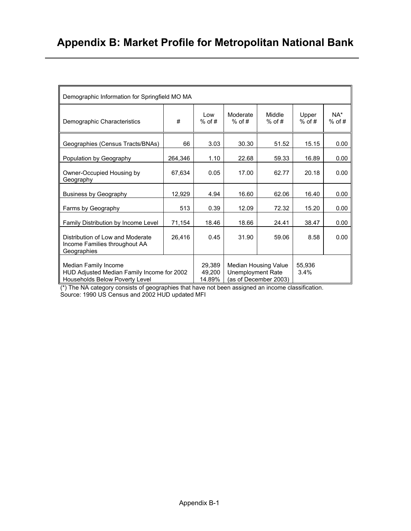| Demographic Information for Springfield MO MA                                                        |         |                            |                          |                                               |                   |                   |
|------------------------------------------------------------------------------------------------------|---------|----------------------------|--------------------------|-----------------------------------------------|-------------------|-------------------|
| Demographic Characteristics                                                                          | #       | l ow<br>$%$ of #           | Moderate<br>$%$ of #     | Middle<br>$%$ of #                            | Upper<br>$%$ of # | $NA*$<br>$%$ of # |
| Geographies (Census Tracts/BNAs)                                                                     | 66      | 3.03                       | 30.30                    | 51.52                                         | 15.15             | 0.00              |
| Population by Geography                                                                              | 264,346 | 1.10                       | 22.68                    | 59.33                                         | 16.89             | 0.00              |
| Owner-Occupied Housing by<br>Geography                                                               | 67,634  | 0.05                       | 17.00                    | 62.77                                         | 20.18             | 0.00              |
| <b>Business by Geography</b>                                                                         | 12,929  | 4.94                       | 16.60                    | 62.06                                         | 16.40             | 0.00              |
| Farms by Geography                                                                                   | 513     | 0.39                       | 12.09                    | 72.32                                         | 15.20             | 0.00              |
| Family Distribution by Income Level                                                                  | 71,154  | 18.46                      | 18.66                    | 24.41                                         | 38.47             | 0.00              |
| Distribution of Low and Moderate<br>Income Families throughout AA<br>Geographies                     | 26,416  | 0.45                       | 31.90                    | 59.06                                         | 8.58              | 0.00              |
| Median Family Income<br>HUD Adjusted Median Family Income for 2002<br>Households Below Poverty Level |         | 29,389<br>49,200<br>14.89% | <b>Unemployment Rate</b> | Median Housing Value<br>(as of December 2003) | 55.936<br>3.4%    |                   |

(\*) The NA category consists of geographies that have not been assigned an income classification. Source: 1990 US Census and 2002 HUD updated MFI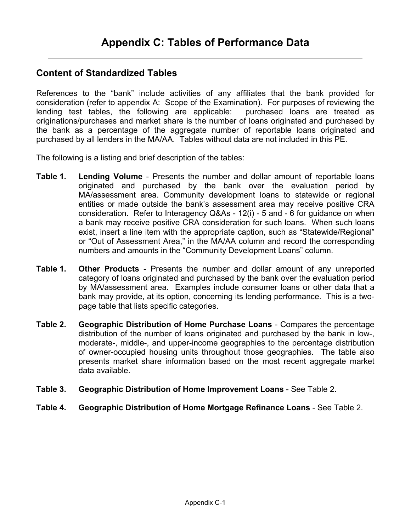#### **Content of Standardized Tables**

References to the "bank" include activities of any affiliates that the bank provided for consideration (refer to appendix A: Scope of the Examination). For purposes of reviewing the lending test tables, the following are applicable: purchased loans are treated as originations/purchases and market share is the number of loans originated and purchased by the bank as a percentage of the aggregate number of reportable loans originated and purchased by all lenders in the MA/AA. Tables without data are not included in this PE.

The following is a listing and brief description of the tables:

- **Table 1. Lending Volume** Presents the number and dollar amount of reportable loans originated and purchased by the bank over the evaluation period by MA/assessment area. Community development loans to statewide or regional entities or made outside the bank's assessment area may receive positive CRA consideration. Refer to Interagency Q&As - 12(i) - 5 and - 6 for guidance on when a bank may receive positive CRA consideration for such loans. When such loans exist, insert a line item with the appropriate caption, such as "Statewide/Regional" or "Out of Assessment Area," in the MA/AA column and record the corresponding numbers and amounts in the "Community Development Loans" column.
- **Table 1. Other Products** Presents the number and dollar amount of any unreported category of loans originated and purchased by the bank over the evaluation period by MA/assessment area. Examples include consumer loans or other data that a bank may provide, at its option, concerning its lending performance. This is a twopage table that lists specific categories.
- **Table 2. Geographic Distribution of Home Purchase Loans** Compares the percentage distribution of the number of loans originated and purchased by the bank in low-, moderate-, middle-, and upper-income geographies to the percentage distribution of owner-occupied housing units throughout those geographies. The table also presents market share information based on the most recent aggregate market data available.
- **Table 3. Geographic Distribution of Home Improvement Loans** See Table 2.
- **Table 4. Geographic Distribution of Home Mortgage Refinance Loans** See Table 2.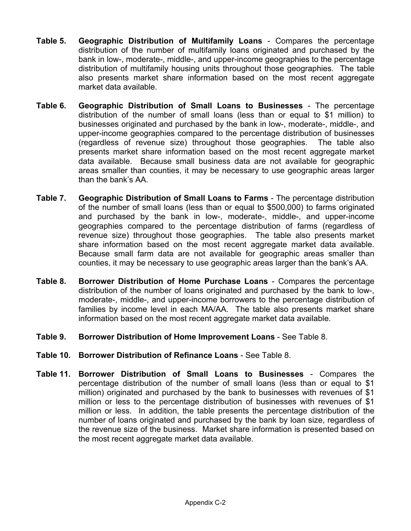- **Table 5. Geographic Distribution of Multifamily Loans** Compares the percentage distribution of the number of multifamily loans originated and purchased by the bank in low-, moderate-, middle-, and upper-income geographies to the percentage distribution of multifamily housing units throughout those geographies. The table also presents market share information based on the most recent aggregate market data available.
- **Table 6. Geographic Distribution of Small Loans to Businesses** The percentage distribution of the number of small loans (less than or equal to \$1 million) to businesses originated and purchased by the bank in low-, moderate-, middle-, and upper-income geographies compared to the percentage distribution of businesses (regardless of revenue size) throughout those geographies. The table also presents market share information based on the most recent aggregate market data available. Because small business data are not available for geographic areas smaller than counties, it may be necessary to use geographic areas larger than the bank's AA.
- **Table 7. Geographic Distribution of Small Loans to Farms** The percentage distribution of the number of small loans (less than or equal to \$500,000) to farms originated and purchased by the bank in low-, moderate-, middle-, and upper-income geographies compared to the percentage distribution of farms (regardless of revenue size) throughout those geographies. The table also presents market share information based on the most recent aggregate market data available. Because small farm data are not available for geographic areas smaller than counties, it may be necessary to use geographic areas larger than the bank's AA.
- **Table 8. Borrower Distribution of Home Purchase Loans** Compares the percentage distribution of the number of loans originated and purchased by the bank to low-, moderate-, middle-, and upper-income borrowers to the percentage distribution of families by income level in each MA/AA. The table also presents market share information based on the most recent aggregate market data available.
- **Table 9. Borrower Distribution of Home Improvement Loans** See Table 8.
- **Table 10. Borrower Distribution of Refinance Loans** See Table 8.
- **Table 11. Borrower Distribution of Small Loans to Businesses** Compares the percentage distribution of the number of small loans (less than or equal to \$1 million) originated and purchased by the bank to businesses with revenues of \$1 million or less to the percentage distribution of businesses with revenues of \$1 million or less. In addition, the table presents the percentage distribution of the number of loans originated and purchased by the bank by loan size, regardless of the revenue size of the business. Market share information is presented based on the most recent aggregate market data available.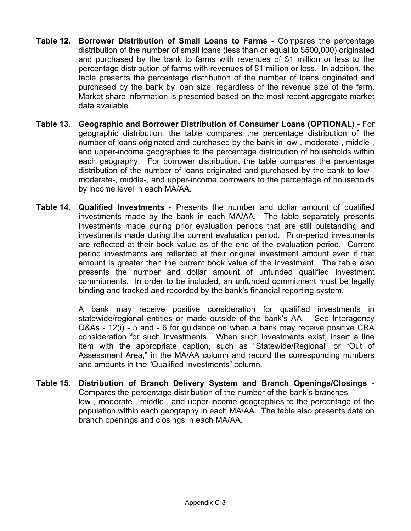- **Table 12. Borrower Distribution of Small Loans to Farms** Compares the percentage distribution of the number of small loans (less than or equal to \$500,000) originated and purchased by the bank to farms with revenues of \$1 million or less to the percentage distribution of farms with revenues of \$1 million or less. In addition, the table presents the percentage distribution of the number of loans originated and purchased by the bank by loan size, regardless of the revenue size of the farm. Market share information is presented based on the most recent aggregate market data available.
- **Table 13. Geographic and Borrower Distribution of Consumer Loans (OPTIONAL)** For geographic distribution, the table compares the percentage distribution of the number of loans originated and purchased by the bank in low-, moderate-, middle-, and upper-income geographies to the percentage distribution of households within each geography. For borrower distribution, the table compares the percentage distribution of the number of loans originated and purchased by the bank to low-, moderate-, middle-, and upper-income borrowers to the percentage of households by income level in each MA/AA.
- **Table 14. Qualified Investments** Presents the number and dollar amount of qualified investments made by the bank in each MA/AA. The table separately presents investments made during prior evaluation periods that are still outstanding and investments made during the current evaluation period. Prior-period investments are reflected at their book value as of the end of the evaluation period. Current period investments are reflected at their original investment amount even if that amount is greater than the current book value of the investment. The table also presents the number and dollar amount of unfunded qualified investment commitments. In order to be included, an unfunded commitment must be legally binding and tracked and recorded by the bank's financial reporting system.

A bank may receive positive consideration for qualified investments in statewide/regional entities or made outside of the bank's AA. See Interagency Q&As - 12(i) - 5 and - 6 for guidance on when a bank may receive positive CRA consideration for such investments. When such investments exist, insert a line item with the appropriate caption, such as "Statewide/Regional" or "Out of Assessment Area," in the MA/AA column and record the corresponding numbers and amounts in the "Qualified Investments" column.

**Table 15. Distribution of Branch Delivery System and Branch Openings/Closings** - Compares the percentage distribution of the number of the bank's branches low-, moderate-, middle-, and upper-income geographies to the percentage of the population within each geography in each MA/AA. The table also presents data on branch openings and closings in each MA/AA.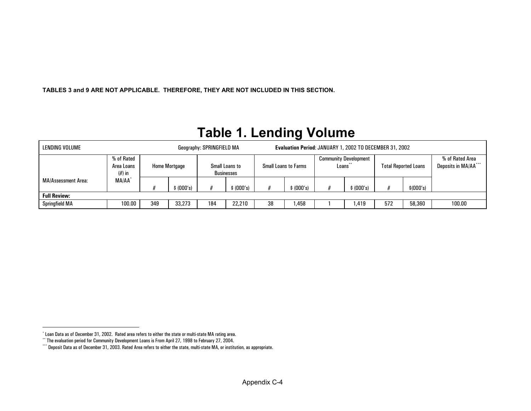<span id="page-9-2"></span><span id="page-9-1"></span><span id="page-9-0"></span>**TABLES 3 and 9 ARE NOT APPLICABLE. THEREFORE, THEY ARE NOT INCLUDED IN THIS SECTION.** 

#### **Table 1. Lending Volume**  LENDING VOLUME Geography: SPRINGFIELD MA **Evaluation Period**: JANUARY 1, 2002 TO DECEMBER 31, 2002 Community Development

|                     | 6 of Rated<br>Area Loans<br>$(\#)$ in |     | <b>Home Mortgage</b> | Small Loans to | Businesses |    | <b>Small Loans to Farms</b> | Loans** | <b>Community Development</b> |     | <b>Total Reported Loans</b> | % of Rated Area<br>Deposits in MA/AA*** |
|---------------------|---------------------------------------|-----|----------------------|----------------|------------|----|-----------------------------|---------|------------------------------|-----|-----------------------------|-----------------------------------------|
| MA/Assessment Area: | MA/AA <sup>®</sup>                    |     |                      |                |            |    |                             |         |                              |     |                             |                                         |
|                     |                                       |     | \$(000's)            |                | (000's)    |    | \$ (000's)                  |         | \$ (000's)                   |     | \$(000's)                   |                                         |
| <b>Full Review:</b> |                                       |     |                      |                |            |    |                             |         |                              |     |                             |                                         |
| Springfield MA      | 100.00                                | 349 | 33,273               | 184            | 22,210     | 38 | ,458                        |         | ,419                         | 572 | 58,360                      | 100.00                                  |

<sup>\*</sup> Loan Data as of December 31, 2002. Rated area refers to either the state or multi-state MA rating area.

<sup>\*\*</sup> The evaluation period for Community Development Loans is From April 27, 1998 to February 27, 2004.

<sup>\*\*\*\*</sup> Deposit Data as of December 31, 2003. Rated Area refers to either the state, multi-state MA, or institution, as appropriate.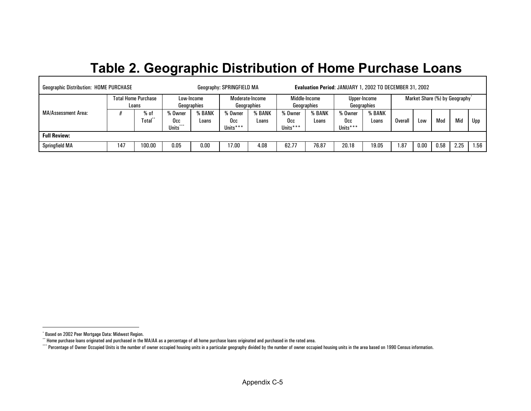# <span id="page-10-2"></span><span id="page-10-1"></span><span id="page-10-0"></span>**Table 2. Geographic Distribution of Home Purchase Loans**

| <b>Geographic Distribution: HOME PURCHASE</b> |     |                                     |                            |                           | Geography: SPRINGFIELD MA  |                                |                            |                              | Evaluation Period: JANUARY 1, 2002 TO DECEMBER 31, 2002 |                             |        |      |                               |      |      |
|-----------------------------------------------|-----|-------------------------------------|----------------------------|---------------------------|----------------------------|--------------------------------|----------------------------|------------------------------|---------------------------------------------------------|-----------------------------|--------|------|-------------------------------|------|------|
|                                               |     | <b>Total Home Purchase</b><br>Loans |                            | Low-Income<br>Geographies |                            | Moderate-Income<br>Geographies |                            | Middle-Income<br>Geographies |                                                         | Upper-Income<br>Geographies |        |      | Market Share (%) by Geography |      |      |
| MA/Assessment Area:                           |     | % of<br>fotal**                     | % Owner<br>Occ<br>Units*** | % BANK<br>Loans           | % Owner<br>Occ<br>Units*** | % BANK<br>Loans                | % Owner<br>Occ<br>Units*** | % BANK<br>Loans              | % Owner<br>Occ<br>Units***                              | % BANK<br>Loans             | Overal | Low  | Mod                           | Mid  | Upp  |
| <b>Full Review:</b>                           |     |                                     |                            |                           |                            |                                |                            |                              |                                                         |                             |        |      |                               |      |      |
| <b>Springfield MA</b>                         | 147 | 100.00                              | 0.05                       | $0.00\,$                  | 17.00                      | 4.08                           | 62.77                      | 76.87                        | 20.18                                                   | 19.05                       | 1.87   | 0.00 | 0.58                          | 2.25 | 1.56 |

<sup>\*</sup> Based on 2002 Peer Mortgage Data: Midwest Region.

 $\cdot^*$  Home purchase loans originated and purchased in the MA/AA as a percentage of all home purchase loans originated and purchased in the rated area.

<sup>\*\*\*\*</sup> Percentage of Owner Occupied Units is the number of owner occupied housing units in a particular geography divided by the number of owner occupied housing units in the area based on 1990 Census information.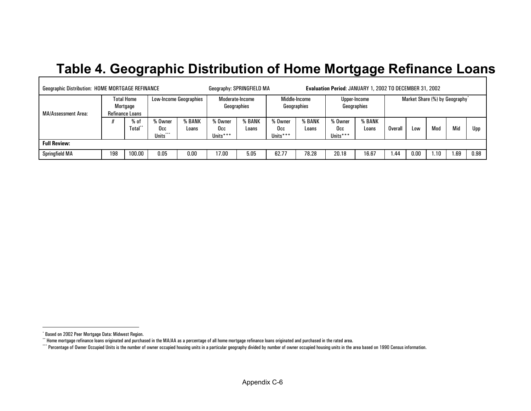### <span id="page-11-2"></span><span id="page-11-1"></span><span id="page-11-0"></span>**Table 4. Geographic Distribution of Home Mortgage Refinance Loans**

| <b>Geographic Distribution: HOME MORTGAGE REFINANCE</b> |     |                                                  |                                      |                               |                             | Geography: SPRINGFIELD MA      |                            |                              | Evaluation Period: JANUARY 1, 2002 TO DECEMBER 31, 2002 |                             |                |      |      |                                            |      |
|---------------------------------------------------------|-----|--------------------------------------------------|--------------------------------------|-------------------------------|-----------------------------|--------------------------------|----------------------------|------------------------------|---------------------------------------------------------|-----------------------------|----------------|------|------|--------------------------------------------|------|
| MA/Assessment Area:                                     |     | <b>Total Home</b><br>Mortgage<br>Refinance Loans |                                      | <b>Low-Income Geographies</b> |                             | Moderate-Income<br>Geographies |                            | Middle-Income<br>Geographies |                                                         | Upper-Income<br>Geographies |                |      |      | Market Share (%) by Geography <sup>*</sup> |      |
|                                                         |     | $%$ of<br>Total*                                 | % Owner<br>Occ.<br>$* * *$<br>Units' | % BANK<br>Loans               | 'o Owner<br>Occ<br>Units*** | 6 BANK<br>0/<br>Loans          | % Owner<br>Occ<br>Units*** | % BANK<br>Loans              | % Owner<br>Occ<br>Units***                              | % BANK<br>Loans             | <b>Overall</b> | Low  | Mod  | Mid                                        | Upp  |
| <b>Full Review:</b>                                     |     |                                                  |                                      |                               |                             |                                |                            |                              |                                                         |                             |                |      |      |                                            |      |
| <b>Springfield MA</b>                                   | 198 | 100.00                                           | 0.05                                 | 0.00                          | 17.00                       | 5.05                           | 62.77                      | 78.28                        | 20.18                                                   | 16.67                       | .44            | 0.00 | 1.10 | .69                                        | 0.98 |

<sup>\*</sup> Based on 2002 Peer Mortgage Data: Midwest Region.

 $^{\circ}$  Home mortgage refinance loans originated and purchased in the MA/AA as a percentage of all home mortgage refinance loans originated and purchased in the rated area.

<sup>\*\*\*\*</sup> Percentage of Owner Occupied Units is the number of owner occupied housing units in a particular geography divided by number of owner occupied housing units in the area based on 1990 Census information.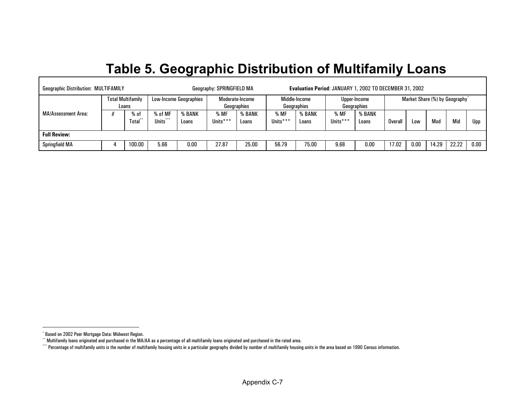## <span id="page-12-2"></span><span id="page-12-1"></span><span id="page-12-0"></span>**Table 5. Geographic Distribution of Multifamily Loans**

| <b>Geographic Distribution: MULTIFAMILY</b> |                          |                          |                     |                               | Geography: SPRINGFIELD MA |                                |                  | Evaluation Period: JANUARY 1, 2002 TO DECEMBER 31, 2002 |                  |                             |         |      |       |                                            |      |
|---------------------------------------------|--------------------------|--------------------------|---------------------|-------------------------------|---------------------------|--------------------------------|------------------|---------------------------------------------------------|------------------|-----------------------------|---------|------|-------|--------------------------------------------|------|
|                                             |                          | <b>Total Multifamily</b> |                     | <b>Low-Income Geographies</b> |                           | Moderate-Income<br>Geographies |                  | Middle-Income<br>Geographies                            |                  | Upper-Income<br>Geographies |         |      |       | Market Share (%) by Geography <sup>*</sup> |      |
| MA/Assessment Area:                         | Loans<br>% of<br>Total*' |                          | % of MF<br>Units*** | % BANK<br>Loans               | % MF<br>Units***          | % BANK<br>Loans                | % MF<br>Units*** | % BANK<br>Loans                                         | % MF<br>Units*** | % BANK<br>Loans             | Overall | Low  | Mod   | Mid                                        | Upp  |
| <b>Full Review:</b>                         |                          |                          |                     |                               |                           |                                |                  |                                                         |                  |                             |         |      |       |                                            |      |
| <b>Springfield MA</b>                       |                          | 100.00                   | 5.66                | 0.00                          | 27.87                     | 25.00                          | 56.79            | 75.00                                                   | 9.68             | 0.00                        | 17.02   | 0.00 | 14.29 | 22.22                                      | 0.00 |

- IT

<sup>\*</sup> Based on 2002 Peer Mortgage Data: Midwest Region.

<sup>\*\*</sup> Multifamily loans originated and purchased in the MA/AA as a percentage of all multifamily loans originated and purchased in the rated area.

<sup>\*\*\*\*</sup> Percentage of multifamily units is the number of multifamily housing units in a particular geography divided by number of multifamily housing units in the area based on 1990 Census information.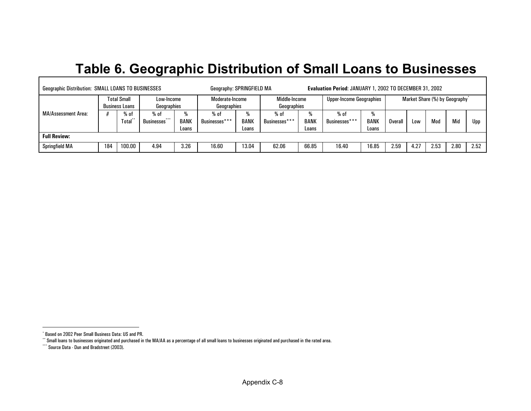### <span id="page-13-2"></span><span id="page-13-1"></span><span id="page-13-0"></span>**Table 6. Geographic Distribution of Small Loans to Businesses**

| <b>Geographic Distribution: SMALL LOANS TO BUSINESSES</b> |     |                                             |                           |                         | Geography: SPRINGFIELD MA      |                       |                              |                         | Evaluation Period: JANUARY 1, 2002 TO DECEMBER 31, 2002 |         |                  |      |      |                                            |      |
|-----------------------------------------------------------|-----|---------------------------------------------|---------------------------|-------------------------|--------------------------------|-----------------------|------------------------------|-------------------------|---------------------------------------------------------|---------|------------------|------|------|--------------------------------------------|------|
|                                                           |     | <b>Total Small</b><br><b>Business Loans</b> | Low-Income<br>Geographies |                         | Moderate-Income<br>Geographies |                       | Middle-Income<br>Geographies |                         | <b>Upper-Income Geographies</b>                         |         |                  |      |      | Market Share (%) by Geography <sup>*</sup> |      |
| MA/Assessment Area:<br>% of<br>Total                      |     | % of<br>***<br>Businesses <sup>*</sup>      | <b>BANK</b><br>Loans      | $%$ of<br>Businesses*** | <b>BANK</b><br>Loans           | % of<br>Businesses*** | <b>BANK</b><br>Loans         | $%$ of<br>Businesses*** | <b>BANK</b><br>Loans                                    | Overall | L <sub>0</sub> W | Mod  | Mid  | Upp                                        |      |
| <b>Full Review:</b>                                       |     |                                             |                           |                         |                                |                       |                              |                         |                                                         |         |                  |      |      |                                            |      |
| <b>Springfield MA</b>                                     | 184 | 100.00                                      | 4.94                      | 3.26                    | 16.60                          | 13.04                 | 62.06                        | 66.85                   | 16.40                                                   | 16.85   | 2.59             | 4.27 | 2.53 | 2.80                                       | 2.52 |

<sup>\*</sup> Based on 2002 Peer Small Business Data: US and PR.

<sup>\*\*</sup> Small loans to businesses originated and purchased in the MA/AA as a percentage of all small loans to businesses originated and purchased in the rated area.

<sup>\*\*\*</sup> Source Data - Dun and Bradstreet (2003).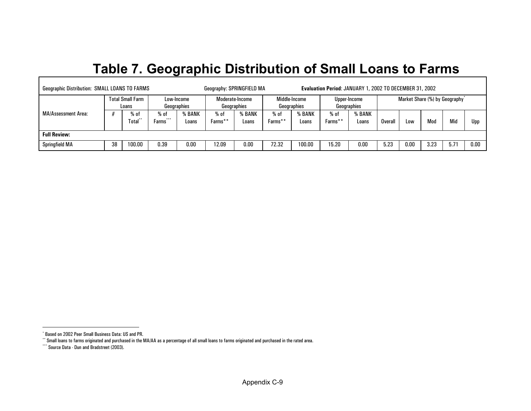### <span id="page-14-2"></span><span id="page-14-1"></span><span id="page-14-0"></span>**Table 7. Geographic Distribution of Small Loans to Farms**

| <b>Geographic Distribution: SMALL LOANS TO FARMS</b> |                                           |                                  |                 |                           | Geography: SPRINGFIELD MA |                                |                 |                              | Evaluation Period: JANUARY 1, 2002 TO DECEMBER 31, 2002 |                             |      |      |      |                                            |      |
|------------------------------------------------------|-------------------------------------------|----------------------------------|-----------------|---------------------------|---------------------------|--------------------------------|-----------------|------------------------------|---------------------------------------------------------|-----------------------------|------|------|------|--------------------------------------------|------|
|                                                      |                                           | <b>Total Small Farm</b><br>Loans |                 | Low-Income<br>Geographies |                           | Moderate-Income<br>Geographies |                 | Middle-Income<br>Geographies |                                                         | Upper-Income<br>Geographies |      |      |      | Market Share (%) by Geography <sup>*</sup> |      |
| MA/Assessment Area:                                  | $%$ of<br>% of<br>***<br>Total**<br>Farms |                                  | % BANK<br>Loans | % of<br>Farms**           | <b>BANK</b><br>Loans      | % of<br>Farms**                | % BANK<br>Loans | % of<br>Farms**              | % BANK<br>Loans                                         | Overall                     | LOW  | Mod  | Mid  | Upp                                        |      |
| <b>Full Review:</b>                                  |                                           |                                  |                 |                           |                           |                                |                 |                              |                                                         |                             |      |      |      |                                            |      |
| <b>Springfield MA</b>                                | 38                                        | 100.00                           | 0.39            | 0.00                      | 12.09                     | 0.00                           | 72.32           | 100.00                       | 15.20                                                   | 0.00                        | 5.23 | 0.00 | 3.23 | 5.71                                       | 0.00 |

<sup>\*</sup> Based on 2002 Peer Small Business Data: US and PR.

<sup>\*\*</sup> Small loans to farms originated and purchased in the MA/AA as a percentage of all small loans to farms originated and purchased in the rated area.

<sup>\*\*\*</sup> Source Data - Dun and Bradstreet (2003).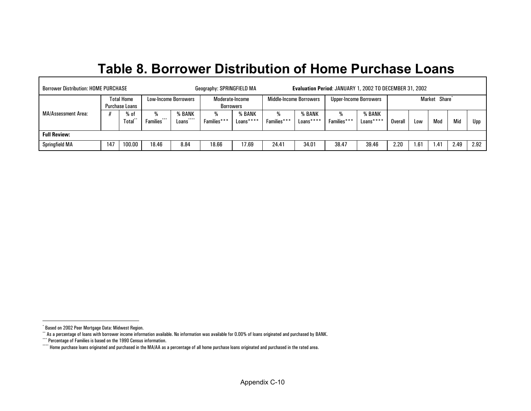#### <span id="page-15-3"></span><span id="page-15-2"></span><span id="page-15-1"></span><span id="page-15-0"></span>**Table 8. Borrower Distribution of Home Purchase Loans**

| <b>Borrower Distribution: HOME PURCHASE</b> |     |                                            |                  |                                               | Geography: SPRINGFIELD MA           |                     |                         |                     | <b>Evaluation Period: JANUARY 1, 2002 TO DECEMBER 31, 2002</b> |                      |         |      |                           |      |      |
|---------------------------------------------|-----|--------------------------------------------|------------------|-----------------------------------------------|-------------------------------------|---------------------|-------------------------|---------------------|----------------------------------------------------------------|----------------------|---------|------|---------------------------|------|------|
|                                             |     | <b>Total Home</b><br><b>Purchase Loans</b> |                  | Low-Income Borrowers                          | Moderate-Income<br><b>Borrowers</b> |                     | Middle-Income Borrowers |                     | Upper-Income Borrowers                                         |                      |         |      | Market Share <sup>*</sup> |      |      |
| MA/Assessment Area:                         |     | % of<br>fotal*                             | %<br>Families*** | % BANK<br>$* * * * *$<br>Families***<br>Loans |                                     | % BANK<br>Loans**** | ₩<br>Families***        | % BANK<br>Loans**** | %<br>Families***                                               | % BANK<br>$Loans***$ | Overall | Low  | Mod                       | Mid  | Upp  |
| <b>Full Review:</b>                         |     |                                            |                  |                                               |                                     |                     |                         |                     |                                                                |                      |         |      |                           |      |      |
| Springfield MA                              | 147 | 100.00                                     | 18.46            | 8.84                                          | 18.66                               | 17.69               | 24.41                   | 34.01               | 38.47                                                          | 39.46                | 2.20    | 1.61 | 1.41                      | 2.49 | 2.92 |

 $\Gamma$ 

<sup>\*</sup> Based on 2002 Peer Mortgage Data: Midwest Region.

<sup>\*\*</sup> As a percentage of loans with borrower income information available. No information was available for 0.00% of loans originated and purchased by BANK.

<sup>\*\*\*</sup> Percentage of Families is based on the 1990 Census information.

<sup>\*\*\*\*</sup> Home purchase loans originated and purchased in the MA/AA as a percentage of all home purchase loans originated and purchased in the rated area.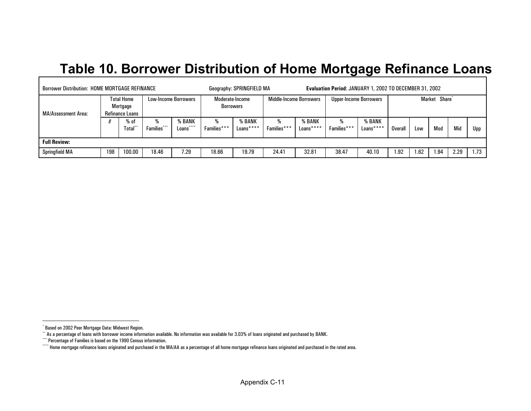## <span id="page-16-3"></span><span id="page-16-2"></span><span id="page-16-1"></span><span id="page-16-0"></span>**Table 10. Borrower Distribution of Home Mortgage Refinance Loans**

| <b>Borrower Distribution: HOME MORTGAGE REFINANCE</b> |     |                                                  |             |                             |                              | Geography: SPRINGFIELD MA |                  |                                | Evaluation Period: JANUARY 1, 2002 TO DECEMBER 31, 2002 |                     |         |      |                           |      |      |
|-------------------------------------------------------|-----|--------------------------------------------------|-------------|-----------------------------|------------------------------|---------------------------|------------------|--------------------------------|---------------------------------------------------------|---------------------|---------|------|---------------------------|------|------|
| <b>MA/Assessment Area:</b>                            |     | <b>Total Home</b><br>Mortgage<br>Refinance Loans |             | <b>Low-Income Borrowers</b> | Moderate-Income<br>Borrowers |                           |                  | <b>Middle-Income Borrowers</b> | Upper-Income Borrowers                                  |                     |         |      | Market Share <sup>*</sup> |      |      |
|                                                       |     | % of<br><b>Total</b>                             | Families*** | % BANK<br><br>Loans         | %<br>Families***             | % BANK<br>Loans****       | %<br>Families*** | % BANK<br>$Loans***$           | %<br>Families***                                        | % BANK<br>Loans**** | Overall | Low  | Mod                       | Mid  | Upp  |
| <b>Full Review:</b>                                   |     |                                                  |             |                             |                              |                           |                  |                                |                                                         |                     |         |      |                           |      |      |
| <b>Springfield MA</b>                                 | 198 | 100.00                                           | 18.46       | 7.29                        | 18.66                        | 19.79                     | 24.41            | 32.81                          | 38.47                                                   | 40.10               | .92     | 1.62 | .94                       | 2.29 | 1.73 |

<sup>\*</sup> Based on 2002 Peer Mortgage Data: Midwest Region.

<sup>\*\*</sup> As a percentage of loans with borrower income information available. No information was available for 3.03% of loans originated and purchased by BANK.

<sup>\*\*\*</sup> Percentage of Families is based on the 1990 Census information.

<sup>\*\*\*\*</sup> Home mortgage refinance loans originated and purchased in the MA/AA as a percentage of all home mortgage refinance loans originated and purchased in the rated area.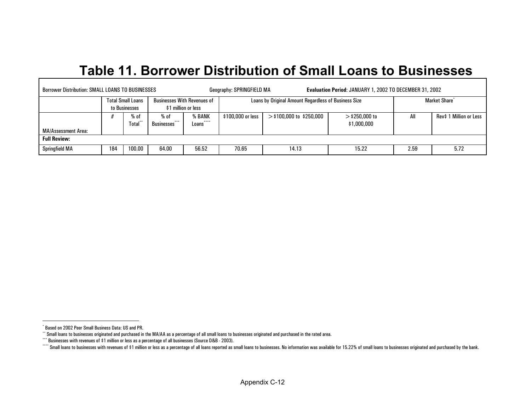### <span id="page-17-3"></span><span id="page-17-2"></span><span id="page-17-1"></span><span id="page-17-0"></span>**Table 11. Borrower Distribution of Small Loans to Businesses**

| <b>Borrower Distribution: SMALL LOANS TO BUSINESSES</b> |     |                                           |                                    |                                                           | Geography: SPRINGFIELD MA |                                                      | <b>Evaluation Period: JANUARY 1, 2002 TO DECEMBER 31, 2002</b> |      |                           |
|---------------------------------------------------------|-----|-------------------------------------------|------------------------------------|-----------------------------------------------------------|---------------------------|------------------------------------------------------|----------------------------------------------------------------|------|---------------------------|
|                                                         |     | <b>Total Small Loans</b><br>to Businesses |                                    | <b>Businesses With Revenues of</b><br>\$1 million or less |                           | Loans by Original Amount Regardless of Business Size |                                                                |      | Market Share <sup>*</sup> |
| MA/Assessment Area:                                     |     | % of<br>Total*                            | $%$ of<br>***<br><b>Businesses</b> | % BANK<br>$* * * *$<br>Loans                              | \$100,000 or less         | $>$ \$100,000 to \$250,000                           | $>$ \$250,000 to<br>\$1,000,000                                | All  | Rev\$ 1 Million or Less   |
| <b>Full Review:</b>                                     |     |                                           |                                    |                                                           |                           |                                                      |                                                                |      |                           |
| <b>Springfield MA</b>                                   | 184 | 100.00                                    | 64.00                              | 56.52                                                     | 70.65                     | 14.13                                                | 15.22                                                          | 2.59 | 5.72                      |

<sup>\*</sup> Based on 2002 Peer Small Business Data: US and PR.

<sup>\*\*</sup> Small loans to businesses originated and purchased in the MA/AA as a percentage of all small loans to businesses originated and purchased in the rated area.

<sup>\*\*\*</sup> Businesses with revenues of \$1 million or less as a percentage of all businesses (Source D&B - 2003).

<sup>\*\*\*\*</sup> Small loans to businesses with revenues of \$1 million or less as a percentage of all loans reported as small loans to businesses. No information was available for 15.22% of small loans to businesses originated and pu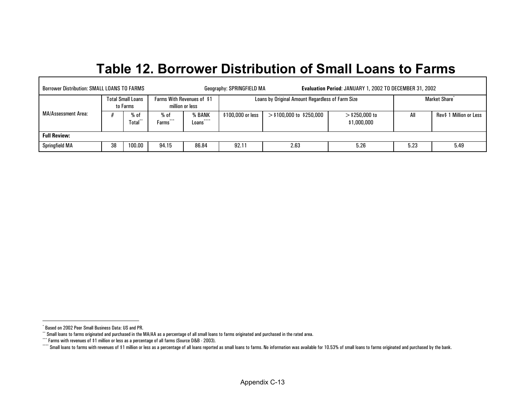#### <span id="page-18-3"></span><span id="page-18-2"></span><span id="page-18-1"></span><span id="page-18-0"></span>**Table 12. Borrower Distribution of Small Loans to Far ms**

| <b>Borrower Distribution: SMALL LOANS TO FARMS</b> |    |                                      |                          |                                               | Geography: SPRINGFIELD MA |                                                  | Evaluation Period: JANUARY 1, 2002 TO DECEMBER 31, 2002 |      |                           |
|----------------------------------------------------|----|--------------------------------------|--------------------------|-----------------------------------------------|---------------------------|--------------------------------------------------|---------------------------------------------------------|------|---------------------------|
|                                                    |    | <b>Total Small Loans</b><br>to Farms |                          | Farms With Revenues of \$1<br>million or less |                           | Loans by Original Amount Regardless of Farm Size |                                                         |      | Market Share <sup>®</sup> |
| MA/Assessment Area:                                |    | $%$ of<br><b>Total</b>               | % of<br>$+ + +$<br>Farms | % BANK<br>****<br>Loans <sup>'</sup>          | \$100,000 or less         | $>$ \$100,000 to \$250,000                       | $>$ \$250,000 to<br>\$1,000,000                         | All  | Rev\$ 1 Million or Less   |
| <b>Full Review:</b>                                |    |                                      |                          |                                               |                           |                                                  |                                                         |      |                           |
| Springfield MA                                     | 38 | 100.00                               | 94.15                    | 86.84                                         | 92.11                     | 2.63                                             | 5.26                                                    | 5.23 | 5.49                      |

 $\mathbf{r}$ 

<sup>\*</sup> Based on 2002 Peer Small Business Data: US and PR.

<sup>\*\*</sup> Small loans to farms originated and purchased in the MA/AA as a percentage of all small loans to farms originated and purchased in the rated area.

<sup>\*\*\*</sup> Farms with revenues of \$1 million or less as a percentage of all farms (Source D&B - 2003).

Computed a Small loans to farms with revenues of \$1 million or less as a percentage of all loans reported as small loans to farms. No information was available for 10.53% of small loans to farms originated and purchased by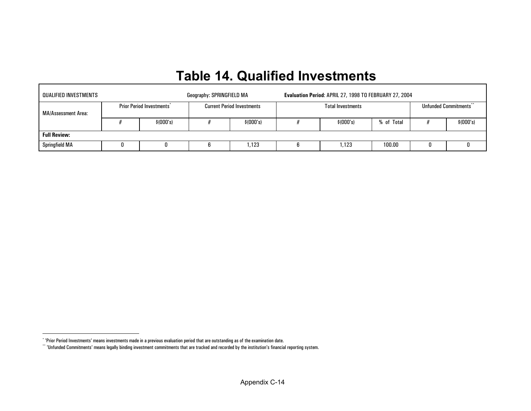## **Table 14. Qualified Investments**

| QUALIFIED INVESTMENTS |  |                                 | Geography: SPRINGFIELD MA |                                   | Evaluation Period: APRIL 27, 1998 TO FEBRUARY 27, 2004 |                          |                        |   |            |  |  |  |  |
|-----------------------|--|---------------------------------|---------------------------|-----------------------------------|--------------------------------------------------------|--------------------------|------------------------|---|------------|--|--|--|--|
| MA/Assessment Area:   |  | <b>Prior Period Investments</b> |                           | <b>Current Period Investments</b> |                                                        | <b>Total Investments</b> | Unfunded Commitments** |   |            |  |  |  |  |
|                       |  | \$(000's)                       |                           | \$(000's)                         |                                                        | \$(000's)                | % of Total             |   | \$ (000's) |  |  |  |  |
| <b>Full Review:</b>   |  |                                 |                           |                                   |                                                        |                          |                        |   |            |  |  |  |  |
| Springfield MA        |  |                                 |                           | .123                              |                                                        | .123                     | 100.00                 | 0 |            |  |  |  |  |

<span id="page-19-1"></span><span id="page-19-0"></span> $\Gamma$ 

<sup>\* &#</sup>x27;Prior Period Investments' means investments made in a previous evaluation period that are outstanding as of the examination date.

 $``$  'Unfunded Commitments' means legally binding investment commitments that are tracked and recorded by the institution's financial reporting system.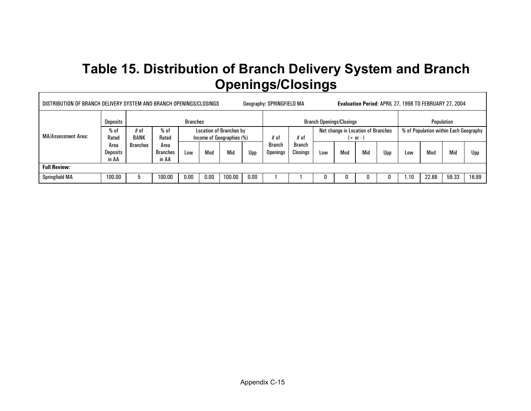## **Table 15. Distribution of Branch Delivery System and Branch Openings/Closings**

| DISTRIBUTION OF BRANCH DELIVERY SYSTEM AND BRANCH OPENINGS/CLOSINGS<br>Evaluation Period: APRIL 27, 1998 TO FEBRUARY 27, 2004<br>Geography: SPRINGFIELD MA |                                  |                     |                                  |                                                             |      |        |      |                                 |                           |                                                  |     |     |     |                                       |       |       |       |
|------------------------------------------------------------------------------------------------------------------------------------------------------------|----------------------------------|---------------------|----------------------------------|-------------------------------------------------------------|------|--------|------|---------------------------------|---------------------------|--------------------------------------------------|-----|-----|-----|---------------------------------------|-------|-------|-------|
| MA/Assessment Area:                                                                                                                                        | <b>Deposits</b>                  | <b>Branches</b>     |                                  |                                                             |      |        |      | <b>Branch Openings/Closings</b> |                           |                                                  |     |     |     | Population                            |       |       |       |
|                                                                                                                                                            | $%$ of<br>Rated                  | # of<br><b>BANK</b> | $%$ of<br>Rated                  | <b>Location of Branches by</b><br>Income of Geographies (%) |      |        |      | # of                            | # of                      | Net change in Location of Branches<br>$(+ or -)$ |     |     |     | % of Population within Each Geography |       |       |       |
|                                                                                                                                                            | Area<br><b>Deposits</b><br>in AA | Branches            | Area<br><b>Branches</b><br>in AA | Low                                                         | Mod  | Mid    | Upp  | Branch<br>Openings              | <b>Branch</b><br>Closings | Low                                              | Mod | Mid | Upp | ∟0W                                   | Mod   | Mid   | Upp   |
| <b>Full Review:</b>                                                                                                                                        |                                  |                     |                                  |                                                             |      |        |      |                                 |                           |                                                  |     |     |     |                                       |       |       |       |
| <b>Springfield MA</b>                                                                                                                                      | 100.00                           |                     | 100.00                           | 0.00                                                        | 0.00 | 100.00 | 0.00 |                                 |                           |                                                  |     |     |     | .10،                                  | 22.68 | 59.33 | 16.89 |